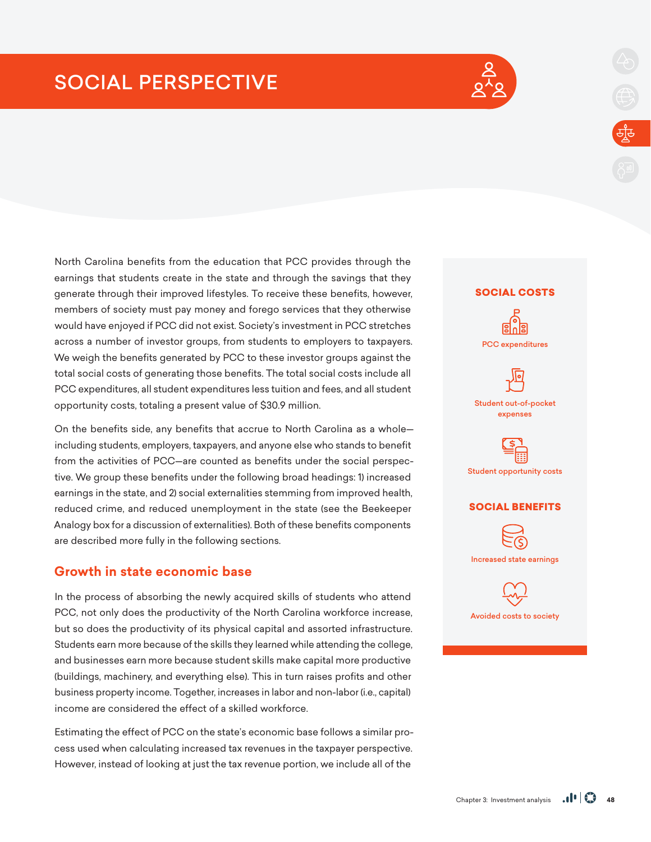# SOCIAL PERSPECTIVE



North Carolina benefits from the education that PCC provides through the earnings that students create in the state and through the savings that they generate through their improved lifestyles. To receive these benefits, however, members of society must pay money and forego services that they otherwise would have enjoyed if PCC did not exist. Society's investment in PCC stretches across a number of investor groups, from students to employers to taxpayers. We weigh the benefits generated by PCC to these investor groups against the total social costs of generating those benefits. The total social costs include all PCC expenditures, all student expenditures less tuition and fees, and all student opportunity costs, totaling a present value of \$30.9 million.

On the benefits side, any benefits that accrue to North Carolina as a whole including students, employers, taxpayers, and anyone else who stands to benefit from the activities of PCC—are counted as benefits under the social perspective. We group these benefits under the following broad headings: 1) increased earnings in the state, and 2) social externalities stemming from improved health, reduced crime, and reduced unemployment in the state (see the Beekeeper Analogy box for a discussion of externalities). Both of these benefits components are described more fully in the following sections.

# **Growth in state economic base**

In the process of absorbing the newly acquired skills of students who attend PCC, not only does the productivity of the North Carolina workforce increase, but so does the productivity of its physical capital and assorted infrastructure. Students earn more because of the skills they learned while attending the college, and businesses earn more because student skills make capital more productive (buildings, machinery, and everything else). This in turn raises profits and other business property income. Together, increases in labor and non-labor (i.e., capital) income are considered the effect of a skilled workforce.

Estimating the effect of PCC on the state's economic base follows a similar process used when calculating increased tax revenues in the taxpayer perspective. However, instead of looking at just the tax revenue portion, we include all of the

#### SOCIAL COSTS



#### Student out-of-pocket expenses



#### SOCIAL BENEFITS



Increased state earnings

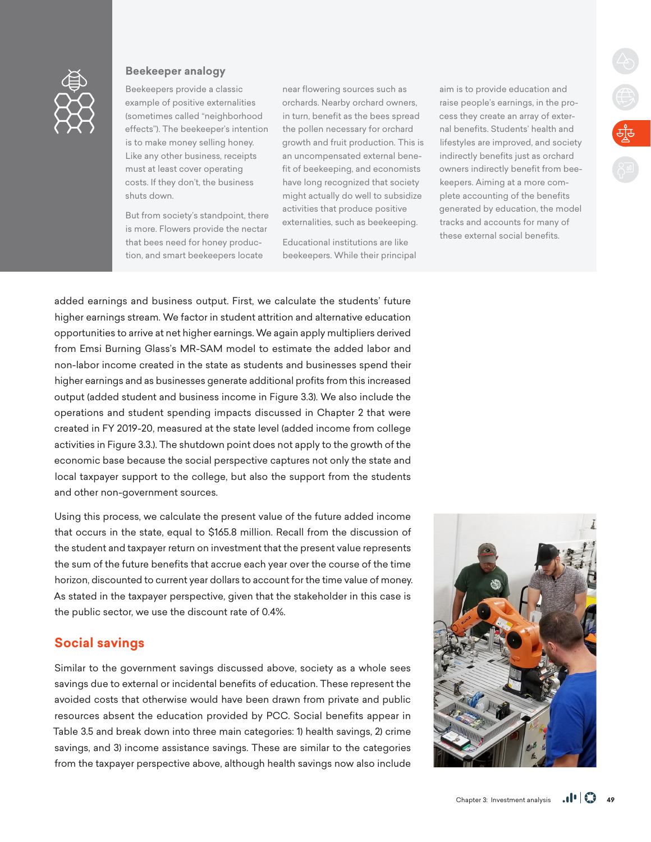

### **Beekeeper analogy**

Beekeepers provide a classic example of positive externalities (sometimes called "neighborhood effects"). The beekeeper's intention is to make money selling honey. Like any other business, receipts must at least cover operating costs. If they don't, the business shuts down.

But from society's standpoint, there is more. Flowers provide the nectar that bees need for honey production, and smart beekeepers locate

near flowering sources such as orchards. Nearby orchard owners, in turn, benefit as the bees spread the pollen necessary for orchard growth and fruit production. This is an uncompensated external benefit of beekeeping, and economists have long recognized that society might actually do well to subsidize activities that produce positive externalities, such as beekeeping.

Educational institutions are like beekeepers. While their principal

aim is to provide education and raise people's earnings, in the process they create an array of external benefits. Students' health and lifestyles are improved, and society indirectly benefits just as orchard owners indirectly benefit from beekeepers. Aiming at a more complete accounting of the benefits generated by education, the model tracks and accounts for many of these external social benefits.

 $\begin{picture}(120,110) \put(0,0){\line(1,0){155}} \put(15,0){\line(1,0){155}} \put(15,0){\line(1,0){155}} \put(15,0){\line(1,0){155}} \put(15,0){\line(1,0){155}} \put(15,0){\line(1,0){155}} \put(15,0){\line(1,0){155}} \put(15,0){\line(1,0){155}} \put(15,0){\line(1,0){155}} \put(15,0){\line(1,0){155}} \put(15,0){\line(1,0){155$ 

added earnings and business output. First, we calculate the students' future higher earnings stream. We factor in student attrition and alternative education opportunities to arrive at net higher earnings. We again apply multipliers derived from Emsi Burning Glass's MR-SAM model to estimate the added labor and non-labor income created in the state as students and businesses spend their higher earnings and as businesses generate additional profits from this increased output (added student and business income in Figure 3.3). We also include the operations and student spending impacts discussed in Chapter 2 that were created in FY 2019-20, measured at the state level (added income from college activities in Figure 3.3.). The shutdown point does not apply to the growth of the economic base because the social perspective captures not only the state and local taxpayer support to the college, but also the support from the students and other non-government sources.

Using this process, we calculate the present value of the future added income that occurs in the state, equal to \$165.8 million. Recall from the discussion of the student and taxpayer return on investment that the present value represents the sum of the future benefits that accrue each year over the course of the time horizon, discounted to current year dollars to account for the time value of money. As stated in the taxpayer perspective, given that the stakeholder in this case is the public sector, we use the discount rate of 0.4%.

## **Social savings**

Similar to the government savings discussed above, society as a whole sees savings due to external or incidental benefits of education. These represent the avoided costs that otherwise would have been drawn from private and public resources absent the education provided by PCC. Social benefits appear in Table 3.5 and break down into three main categories: 1) health savings, 2) crime savings, and 3) income assistance savings. These are similar to the categories from the taxpayer perspective above, although health savings now also include

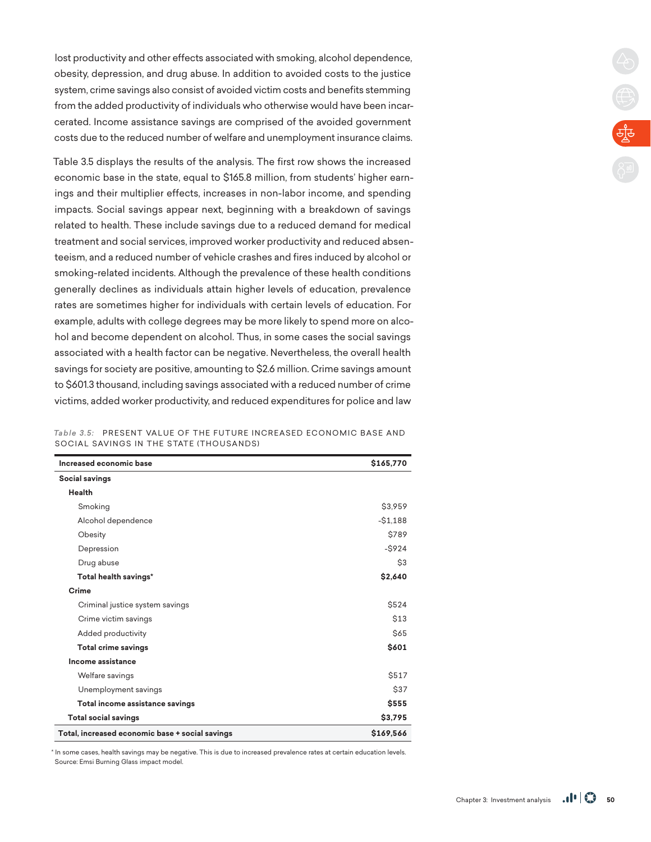lost productivity and other effects associated with smoking, alcohol dependence, obesity, depression, and drug abuse. In addition to avoided costs to the justice system, crime savings also consist of avoided victim costs and benefits stemming from the added productivity of individuals who otherwise would have been incarcerated. Income assistance savings are comprised of the avoided government costs due to the reduced number of welfare and unemployment insurance claims.

Table 3.5 displays the results of the analysis. The first row shows the increased economic base in the state, equal to \$165.8 million, from students' higher earnings and their multiplier effects, increases in non-labor income, and spending impacts. Social savings appear next, beginning with a breakdown of savings related to health. These include savings due to a reduced demand for medical treatment and social services, improved worker productivity and reduced absenteeism, and a reduced number of vehicle crashes and fires induced by alcohol or smoking-related incidents. Although the prevalence of these health conditions generally declines as individuals attain higher levels of education, prevalence rates are sometimes higher for individuals with certain levels of education. For example, adults with college degrees may be more likely to spend more on alcohol and become dependent on alcohol. Thus, in some cases the social savings associated with a health factor can be negative. Nevertheless, the overall health savings for society are positive, amounting to \$2.6 million. Crime savings amount to \$601.3 thousand, including savings associated with a reduced number of crime victims, added worker productivity, and reduced expenditures for police and law

|  | Table 3.5: PRESENT VALUE OF THE FUTURE INCREASED ECONOMIC BASE AND |  |  |
|--|--------------------------------------------------------------------|--|--|
|  | SOCIAL SAVINGS IN THE STATE (THOUSANDS)                            |  |  |

| Increased economic base                         | \$165,770    |
|-------------------------------------------------|--------------|
| Social savings                                  |              |
| Health                                          |              |
| Smoking                                         | \$3,959      |
| Alcohol dependence                              | $-$1,188$    |
| Obesity                                         | \$789        |
| Depression                                      | $-$ \$924    |
| Drug abuse                                      | \$3          |
| Total health savings*                           | \$2,640      |
| Crime                                           |              |
| Criminal justice system savings                 | <b>\$524</b> |
| Crime victim savings                            | <b>\$13</b>  |
| Added productivity                              | <b>S65</b>   |
| <b>Total crime savings</b>                      | \$601        |
| Income assistance                               |              |
| Welfare savings                                 | <b>\$517</b> |
| Unemployment savings                            | <b>\$37</b>  |
| Total income assistance savings                 | <b>\$555</b> |
| <b>Total social savings</b>                     | \$3,795      |
| Total, increased economic base + social savings | \$169,566    |

\* In some cases, health savings may be negative. This is due to increased prevalence rates at certain education levels. Source: Emsi Burning Glass impact model.

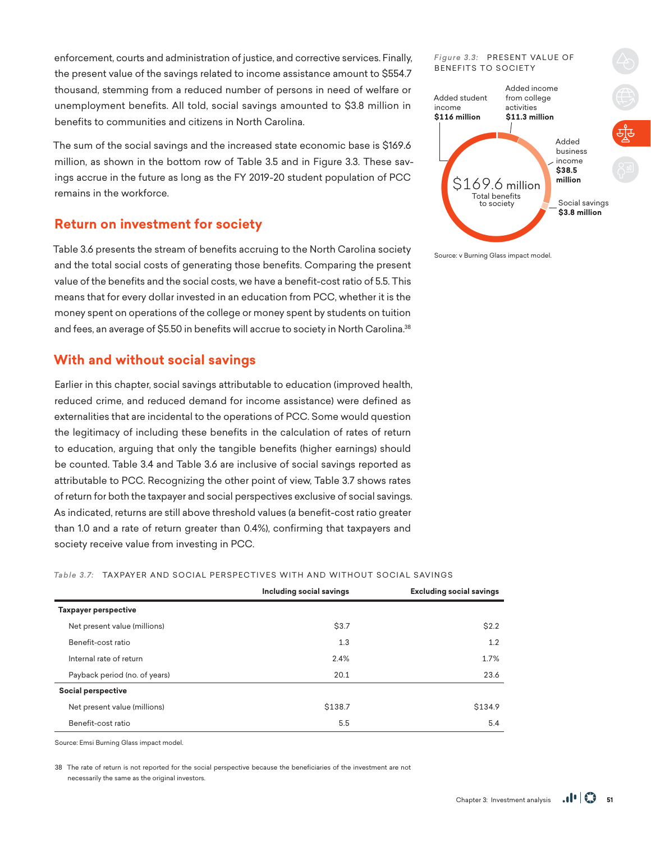enforcement, courts and administration of justice, and corrective services. Finally, the present value of the savings related to income assistance amount to \$554.7 thousand, stemming from a reduced number of persons in need of welfare or unemployment benefits. All told, social savings amounted to \$3.8 million in benefits to communities and citizens in North Carolina.

The sum of the social savings and the increased state economic base is \$169.6 million, as shown in the bottom row of Table 3.5 and in Figure 3.3. These savings accrue in the future as long as the FY 2019-20 student population of PCC remains in the workforce.

# **Return on investment for society**

Table 3.6 presents the stream of benefits accruing to the North Carolina society and the total social costs of generating those benefits. Comparing the present value of the benefits and the social costs, we have a benefit-cost ratio of 5.5. This means that for every dollar invested in an education from PCC, whether it is the money spent on operations of the college or money spent by students on tuition and fees, an average of \$5.50 in benefits will accrue to society in North Carolina.<sup>38</sup>

# **With and without social savings**

Earlier in this chapter, social savings attributable to education (improved health, reduced crime, and reduced demand for income assistance) were defined as externalities that are incidental to the operations of PCC. Some would question the legitimacy of including these benefits in the calculation of rates of return to education, arguing that only the tangible benefits (higher earnings) should be counted. Table 3.4 and Table 3.6 are inclusive of social savings reported as attributable to PCC. Recognizing the other point of view, Table 3.7 shows rates of return for both the taxpayer and social perspectives exclusive of social savings. As indicated, returns are still above threshold values (a benefit-cost ratio greater than 1.0 and a rate of return greater than 0.4%), confirming that taxpayers and society receive value from investing in PCC.

Table 3.7: TAXPAYER AND SOCIAL PERSPECTIVES WITH AND WITHOUT SOCIAL SAVINGS

|                               | Including social savings | <b>Excluding social savings</b> |
|-------------------------------|--------------------------|---------------------------------|
| Taxpayer perspective          |                          |                                 |
| Net present value (millions)  | \$3.7                    | \$2.2                           |
| Benefit-cost ratio            | 1.3                      | 1.2                             |
| Internal rate of return       | 2.4%                     | 1.7%                            |
| Payback period (no. of years) | 20.1                     | 23.6                            |
| Social perspective            |                          |                                 |
| Net present value (millions)  | \$138.7                  | \$134.9                         |
| Benefit-cost ratio            | 5.5                      | 5.4                             |

Source: Emsi Burning Glass impact model.

38 The rate of return is not reported for the social perspective because the beneficiaries of the investment are not necessarily the same as the original investors.



Source: v Burning Glass impact model.